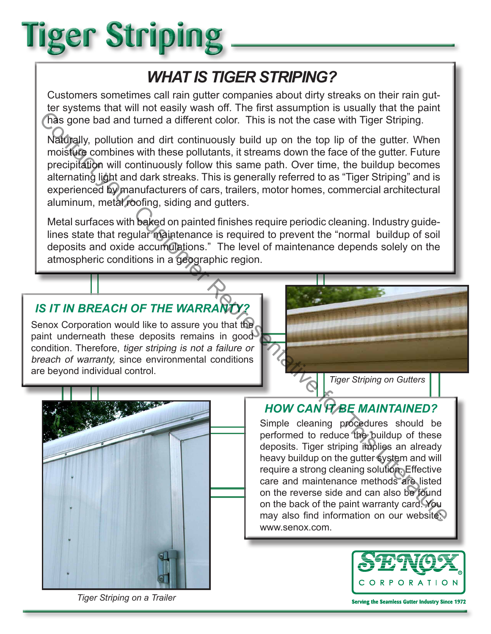# **Tiger Striping**

## *WHAT IS TIGER STRIPING?*

Customers sometimes call rain gutter companies about dirty streaks on their rain gutter systems that will not easily wash off. The first assumption is usually that the paint has gone bad and turned a different color. This is not the case with Tiger Striping.

Naturally, pollution and dirt continuously build up on the top lip of the gutter. When moisture combines with these pollutants, it streams down the face of the gutter. Future precipitation will continuously follow this same path. Over time, the buildup becomes alternating light and dark streaks. This is generally referred to as "Tiger Striping" and is experienced by manufacturers of cars, trailers, motor homes, commercial architectural aluminum, metal roofing, siding and gutters. Contact you that these policies is reacting the series with Tiger Striping.<br>
Contact you related a different color. This is not the case with Tiger Striping.<br>
Nafogaly, pollution and dirt continuously build up on the top

Metal surfaces with baked on painted finishes require periodic cleaning. Industry guidelines state that regular maintenance is required to prevent the "normal buildup of soil deposits and oxide accumulations." The level of maintenance depends solely on the atmospheric conditions in a geographic region.

### **IS IT IN BREACH OF THE WARRANTY**

Senox Corporation would like to assure you that the paint underneath these deposits remains in good condition. Therefore, tiger striping is not a failure or breach of warranty, since environmental conditions are beyond individual control.



### *HOW CAN IT BE MAINTAINED?*

Simple cleaning procedures should be performed to reduce the buildup of these deposits. Tiger striping implies an already heavy buildup on the gutter system and will require a strong cleaning solution. Effective care and maintenance methods are listed on the reverse side and can also be found on the back of the paint warranty card. You may also find information on our website: www.senox.com.



*Tiger Striping on a Trailer*

**Serving the Seamless Gutter Industry Since 1972**